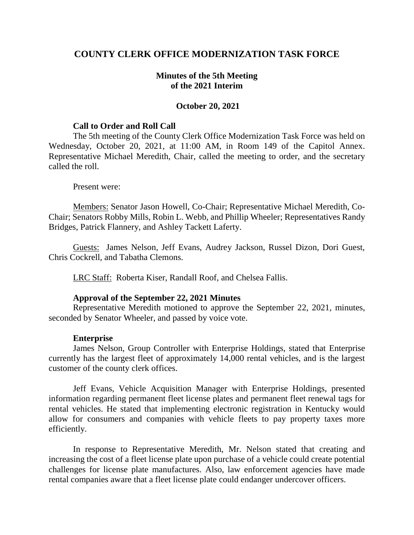# **COUNTY CLERK OFFICE MODERNIZATION TASK FORCE**

## **Minutes of the 5th Meeting of the 2021 Interim**

### **October 20, 2021**

#### **Call to Order and Roll Call**

The 5th meeting of the County Clerk Office Modernization Task Force was held on Wednesday, October 20, 2021, at 11:00 AM, in Room 149 of the Capitol Annex. Representative Michael Meredith, Chair, called the meeting to order, and the secretary called the roll.

#### Present were:

Members: Senator Jason Howell, Co-Chair; Representative Michael Meredith, Co-Chair; Senators Robby Mills, Robin L. Webb, and Phillip Wheeler; Representatives Randy Bridges, Patrick Flannery, and Ashley Tackett Laferty.

Guests: James Nelson, Jeff Evans, Audrey Jackson, Russel Dizon, Dori Guest, Chris Cockrell, and Tabatha Clemons.

LRC Staff: Roberta Kiser, Randall Roof, and Chelsea Fallis.

#### **Approval of the September 22, 2021 Minutes**

Representative Meredith motioned to approve the September 22, 2021, minutes, seconded by Senator Wheeler, and passed by voice vote.

#### **Enterprise**

James Nelson, Group Controller with Enterprise Holdings, stated that Enterprise currently has the largest fleet of approximately 14,000 rental vehicles, and is the largest customer of the county clerk offices.

Jeff Evans, Vehicle Acquisition Manager with Enterprise Holdings, presented information regarding permanent fleet license plates and permanent fleet renewal tags for rental vehicles. He stated that implementing electronic registration in Kentucky would allow for consumers and companies with vehicle fleets to pay property taxes more efficiently.

In response to Representative Meredith, Mr. Nelson stated that creating and increasing the cost of a fleet license plate upon purchase of a vehicle could create potential challenges for license plate manufactures. Also, law enforcement agencies have made rental companies aware that a fleet license plate could endanger undercover officers.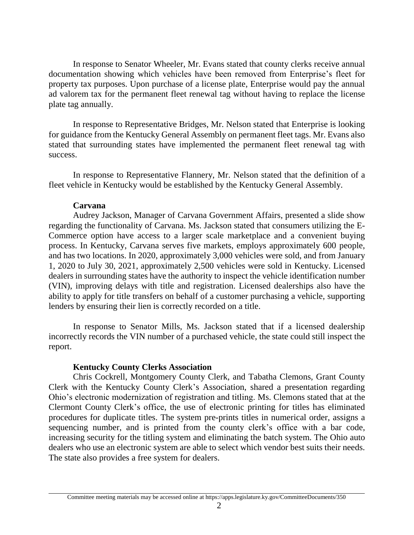In response to Senator Wheeler, Mr. Evans stated that county clerks receive annual documentation showing which vehicles have been removed from Enterprise's fleet for property tax purposes. Upon purchase of a license plate, Enterprise would pay the annual ad valorem tax for the permanent fleet renewal tag without having to replace the license plate tag annually.

In response to Representative Bridges, Mr. Nelson stated that Enterprise is looking for guidance from the Kentucky General Assembly on permanent fleet tags. Mr. Evans also stated that surrounding states have implemented the permanent fleet renewal tag with success.

In response to Representative Flannery, Mr. Nelson stated that the definition of a fleet vehicle in Kentucky would be established by the Kentucky General Assembly.

### **Carvana**

Audrey Jackson, Manager of Carvana Government Affairs, presented a slide show regarding the functionality of Carvana. Ms. Jackson stated that consumers utilizing the E-Commerce option have access to a larger scale marketplace and a convenient buying process. In Kentucky, Carvana serves five markets, employs approximately 600 people, and has two locations. In 2020, approximately 3,000 vehicles were sold, and from January 1, 2020 to July 30, 2021, approximately 2,500 vehicles were sold in Kentucky. Licensed dealers in surrounding states have the authority to inspect the vehicle identification number (VIN), improving delays with title and registration. Licensed dealerships also have the ability to apply for title transfers on behalf of a customer purchasing a vehicle, supporting lenders by ensuring their lien is correctly recorded on a title.

In response to Senator Mills, Ms. Jackson stated that if a licensed dealership incorrectly records the VIN number of a purchased vehicle, the state could still inspect the report.

## **Kentucky County Clerks Association**

Chris Cockrell, Montgomery County Clerk, and Tabatha Clemons, Grant County Clerk with the Kentucky County Clerk's Association, shared a presentation regarding Ohio's electronic modernization of registration and titling. Ms. Clemons stated that at the Clermont County Clerk's office, the use of electronic printing for titles has eliminated procedures for duplicate titles. The system pre-prints titles in numerical order, assigns a sequencing number, and is printed from the county clerk's office with a bar code, increasing security for the titling system and eliminating the batch system. The Ohio auto dealers who use an electronic system are able to select which vendor best suits their needs. The state also provides a free system for dealers.

Committee meeting materials may be accessed online at https://apps.legislature.ky.gov/CommitteeDocuments/350